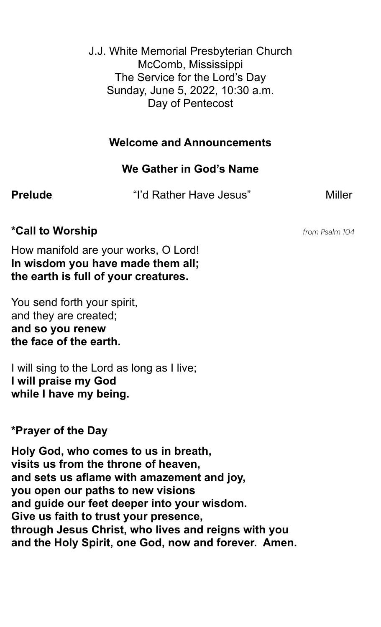J.J. White Memorial Presbyterian Church McComb, Mississippi The Service for the Lord's Day Sunday, June 5, 2022, 10:30 a.m. Day of Pentecost

## **Welcome and Announcements**

# **We Gather in God's Name**

**Prelude** The "I'd Rather Have Jesus" Miller

# **\*Call to Worship** *from Psalm 104*

How manifold are your works, O Lord! **In wisdom you have made them all; the earth is full of your creatures.**

You send forth your spirit, and they are created; **and so you renew the face of the earth.**

I will sing to the Lord as long as I live; **I will praise my God while I have my being.**

# **\*Prayer of the Day**

**Holy God, who comes to us in breath, visits us from the throne of heaven, and sets us aflame with amazement and joy, you open our paths to new visions and guide our feet deeper into your wisdom. Give us faith to trust your presence, through Jesus Christ, who lives and reigns with you and the Holy Spirit, one God, now and forever. Amen.**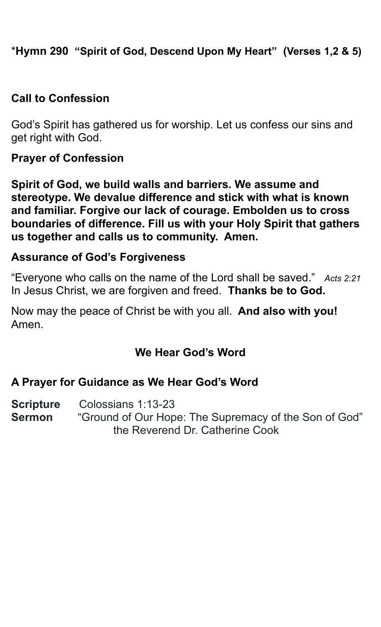\***Hymn 290 "Spirit of God, Descend Upon My Heart" (Verses 1,2 & 5)**

## **Call to Confession**

God's Spirit has gathered us for worship. Let us confess our sins and get right with God.

#### **Prayer of Confession**

**Spirit of God, we build walls and barriers. We assume and stereotype. We devalue difference and stick with what is known and familiar. Forgive our lack of courage. Embolden us to cross boundaries of difference. Fill us with your Holy Spirit that gathers us together and calls us to community. Amen.** 

### **Assurance of God's Forgiveness**

"Everyone who calls on the name of the Lord shall be saved." *Acts 2:21*  In Jesus Christ, we are forgiven and freed. **Thanks be to God.**

Now may the peace of Christ be with you all. **And also with you!** Amen.

# **We Hear God's Word**

#### **A Prayer for Guidance as We Hear God's Word**

**Scripture** Colossians 1:13-23 **Sermon** "Ground of Our Hope: The Supremacy of the Son of God" the Reverend Dr. Catherine Cook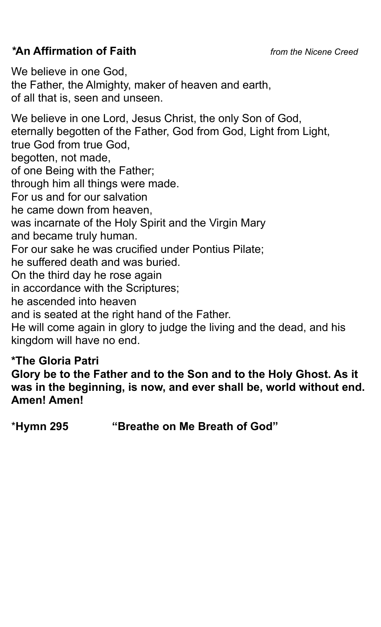# *\****An Affirmation of Faith** *from the Nicene Creed*

We believe in one God, the Father, the Almighty, maker of heaven and earth, of all that is, seen and unseen. We believe in one Lord, Jesus Christ, the only Son of God, eternally begotten of the Father, God from God, Light from Light, true God from true God, begotten, not made, of one Being with the Father; through him all things were made. For us and for our salvation he came down from heaven, was incarnate of the Holy Spirit and the Virgin Mary and became truly human. For our sake he was crucified under Pontius Pilate; he suffered death and was buried. On the third day he rose again in accordance with the Scriptures; he ascended into heaven and is seated at the right hand of the Father. He will come again in glory to judge the living and the dead, and his kingdom will have no end.

# **\*The Gloria Patri**

**Glory be to the Father and to the Son and to the Holy Ghost. As it was in the beginning, is now, and ever shall be, world without end. Amen! Amen!** 

\***Hymn 295 "Breathe on Me Breath of God"**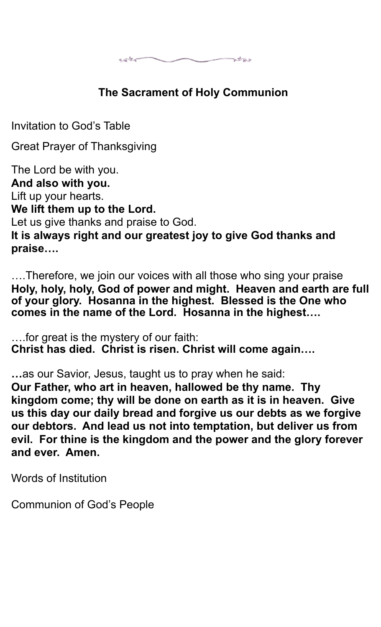$\overbrace{\hspace{27mm}}^{styst}$ **Battlet** 

# **The Sacrament of Holy Communion**

Invitation to God's Table

Great Prayer of Thanksgiving

The Lord be with you. **And also with you.** Lift up your hearts. **We lift them up to the Lord.** Let us give thanks and praise to God. **It is always right and our greatest joy to give God thanks and praise….**

….Therefore, we join our voices with all those who sing your praise **Holy, holy, holy, God of power and might. Heaven and earth are full of your glory. Hosanna in the highest. Blessed is the One who comes in the name of the Lord. Hosanna in the highest….**

….for great is the mystery of our faith: **Christ has died. Christ is risen. Christ will come again….**

**…**as our Savior, Jesus, taught us to pray when he said: **Our Father, who art in heaven, hallowed be thy name. Thy kingdom come; thy will be done on earth as it is in heaven. Give us this day our daily bread and forgive us our debts as we forgive our debtors. And lead us not into temptation, but deliver us from evil. For thine is the kingdom and the power and the glory forever and ever. Amen.**

Words of Institution

Communion of God's People